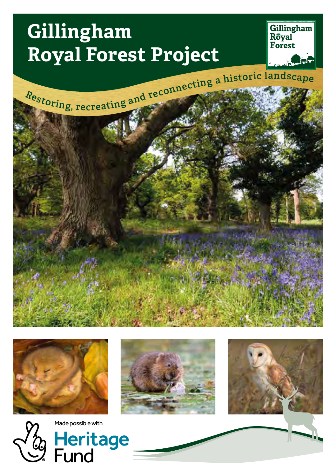# **Gillingham Royal Forest Project**













Made possible with Heritage<br>Fund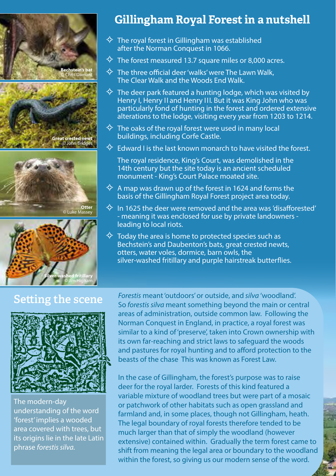





### **Gillingham Royal Forest in a nutshell**

- $\diamondsuit$  The royal forest in Gillingham was established after the Norman Conquest in 1066.
- $\diamondsuit$  The forest measured 13.7 square miles or 8,000 acres.
- $\diamondsuit$  The three official deer 'walks' were The Lawn Walk, The Clear Walk and the Woods End Walk.
- $\diamondsuit$  The deer park featured a hunting lodge, which was visited by Henry I, Henry II and Henry III. But it was King John who was particularly fond of hunting in the forest and ordered extensive alterations to the lodge, visiting every year from 1203 to 1214.
- $\diamondsuit$  The oaks of the royal forest were used in many local buildings, including Corfe Castle.
- $\diamondsuit$  Edward I is the last known monarch to have visited the forest.

The royal residence, King's Court, was demolished in the 14th century but the site today is an ancient scheduled monument - King's Court Palace moated site.

- $\Leftrightarrow$  A map was drawn up of the forest in 1624 and forms the basis of the Gillingham Royal Forest project area today.
- $\diamondsuit$  In 1625 the deer were removed and the area was 'disafforested' - meaning it was enclosed for use by private landowners leading to local riots.
- $\diamondsuit$  Today the area is home to protected species such as Bechstein's and Daubenton's bats, great crested newts, otters, water voles, dormice, barn owls, the silver-washed fritillary and purple hairstreak butterflies.

#### **Setting the scene**



The modern-day understanding of the word 'forest' implies a wooded area covered with trees, but its origins lie in the late Latin phrase *forestis silva.*

*Forestis* meant 'outdoors' or outside, and *silva* 'woodland'. So *forestis silva* meant something beyond the main or central areas of administration, outside common law. Following the Norman Conquest in England, in practice, a royal forest was similar to a kind of 'preserve', taken into Crown ownership with its own far-reaching and strict laws to safeguard the woods and pastures for royal hunting and to afford protection to the beasts of the chase This was known as Forest Law.

In the case of Gillingham, the forest's purpose was to raise deer for the royal larder. Forests of this kind featured a variable mixture of woodland trees but were part of a mosaic or patchwork of other habitats such as open grassland and farmland and, in some places, though not Gillingham, heath. The legal boundary of royal forests therefore tended to be much larger than that of simply the woodland (however extensive) contained within. Gradually the term forest came to shift from meaning the legal area or boundary to the woodland within the forest, so giving us our modern sense of the word.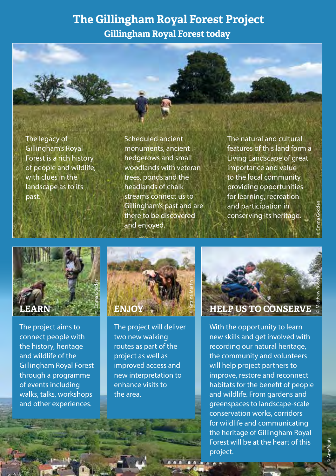#### **The Gillingham Royal Forest Project**

**Gillingham Royal Forest today**



The legacy of Gillingham's Royal Forest is a rich history of people and wildlife, with clues in the landscape as to its past.

Scheduled ancient monuments, ancient hedgerows and small woodlands with veteran trees, ponds and the headlands of chalk streams connect us to Gillingham's past and are there to be discovered and enjoyed.

The natural and cultural features of this land form a Living Landscape of great importance and value to the local community, providing opportunities for learning, recreation and participation in conserving its heritage.

© Emma Godden

© Amy Yeats



The project aims to connect people with the history, heritage and wildlife of the Gillingham Royal Forest through a programme of events including walks, talks, workshops and other experiences.



The project will deliver two new walking routes as part of the project as well as improved access and new interpretation to enhance visits to the area.



With the opportunity to learn new skills and get involved with recording our natural heritage, the community and volunteers will help project partners to improve, restore and reconnect habitats for the benefit of people and wildlife. From gardens and greenspaces to landscape-scale conservation works, corridors for wildlife and communicating the heritage of Gillingham Royal Forest will be at the heart of this project.